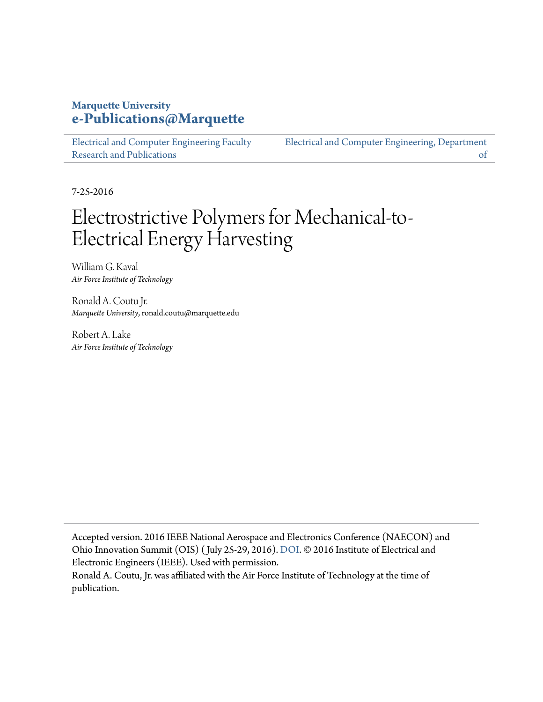## **Marquette University [e-Publications@Marquette](https://epublications.marquette.edu)**

[Electrical and Computer Engineering Faculty](https://epublications.marquette.edu/electric_fac) [Research and Publications](https://epublications.marquette.edu/electric_fac)

[Electrical and Computer Engineering, Department](https://epublications.marquette.edu/electric) [of](https://epublications.marquette.edu/electric)

7-25-2016

## Electrostrictive Polymers for Mechanical-to-Electrical Energy Harvesting

William G. Kaval *Air Force Institute of Technology*

Ronald A. Coutu Jr. *Marquette University*, ronald.coutu@marquette.edu

Robert A. Lake *Air Force Institute of Technology*

Accepted version. 2016 IEEE National Aerospace and Electronics Conference (NAECON) and Ohio Innovation Summit (OIS) ( July 25-29, 2016). [DOI.](https://doi.org/10.1109/NAECON.2016.7856823) © 2016 Institute of Electrical and Electronic Engineers (IEEE). Used with permission.

Ronald A. Coutu, Jr. was affiliated with the Air Force Institute of Technology at the time of publication.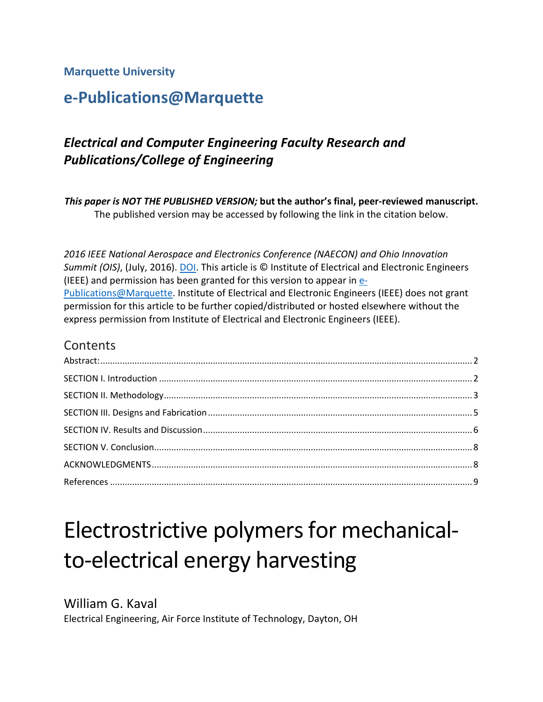#### **Marquette University**

## **e-Publications@Marquette**

## *Electrical and Computer Engineering Faculty Research and Publications/College of Engineering*

*This paper is NOT THE PUBLISHED VERSION;* **but the author's final, peer-reviewed manuscript.**  The published version may be accessed by following the link in the citation below.

*2016 IEEE National Aerospace and Electronics Conference (NAECON) and Ohio Innovation Summit (OIS)*, (July, 2016). [DOI.](https://doi.org/10.1109/NAECON.2016.7856823) This article is © Institute of Electrical and Electronic Engineers (IEEE) and permission has been granted for this version to appear in [e-](http://epublications.marquette.edu/)[Publications@Marquette.](http://epublications.marquette.edu/) Institute of Electrical and Electronic Engineers (IEEE) does not grant permission for this article to be further copied/distributed or hosted elsewhere without the express permission from Institute of Electrical and Electronic Engineers (IEEE).

#### **Contents**

# Electrostrictive polymers for mechanicalto-electrical energy harvesting

William G. Kaval Electrical Engineering, Air Force Institute of Technology, Dayton, OH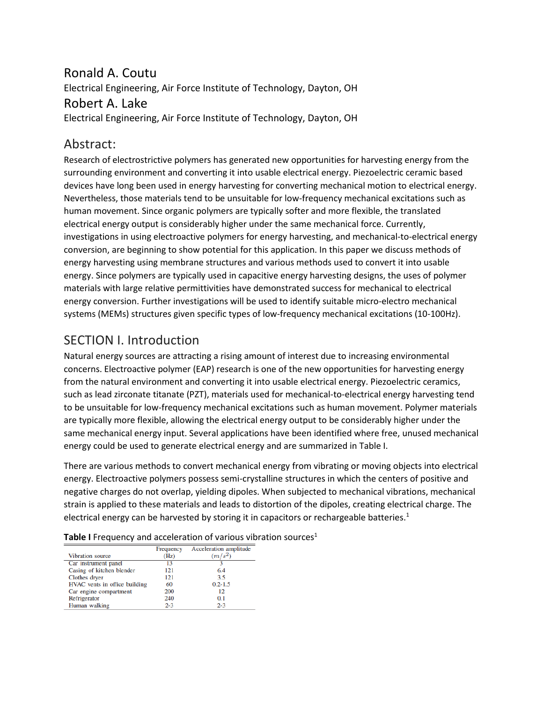## Ronald A. Coutu Electrical Engineering, Air Force Institute of Technology, Dayton, OH Robert A. Lake Electrical Engineering, Air Force Institute of Technology, Dayton, OH

#### <span id="page-2-0"></span>Abstract:

Research of electrostrictive polymers has generated new opportunities for harvesting energy from the surrounding environment and converting it into usable electrical energy. Piezoelectric ceramic based devices have long been used in energy harvesting for converting mechanical motion to electrical energy. Nevertheless, those materials tend to be unsuitable for low-frequency mechanical excitations such as human movement. Since organic polymers are typically softer and more flexible, the translated electrical energy output is considerably higher under the same mechanical force. Currently, investigations in using electroactive polymers for energy harvesting, and mechanical-to-electrical energy conversion, are beginning to show potential for this application. In this paper we discuss methods of energy harvesting using membrane structures and various methods used to convert it into usable energy. Since polymers are typically used in capacitive energy harvesting designs, the uses of polymer materials with large relative permittivities have demonstrated success for mechanical to electrical energy conversion. Further investigations will be used to identify suitable micro-electro mechanical systems (MEMs) structures given specific types of low-frequency mechanical excitations (10-100Hz).

## <span id="page-2-1"></span>SECTION I. Introduction

Natural energy sources are attracting a rising amount of interest due to increasing environmental concerns. Electroactive polymer (EAP) research is one of the new opportunities for harvesting energy from the natural environment and converting it into usable electrical energy. Piezoelectric ceramics, such as lead zirconate titanate (PZT), materials used for mechanical-to-electrical energy harvesting tend to be unsuitable for low-frequency mechanical excitations such as human movement. Polymer materials are typically more flexible, allowing the electrical energy output to be considerably higher under the same mechanical energy input. Several applications have been identified where free, unused mechanical energy could be used to generate electrical energy and are summarized in Table I.

There are various methods to convert mechanical energy from vibrating or moving objects into electrical energy. Electroactive polymers possess semi-crystalline structures in which the centers of positive and negative charges do not overlap, yielding dipoles. When subjected to mechanical vibrations, mechanical strain is applied to these materials and leads to distortion of the dipoles, creating electrical charge. The electrical energy can be harvested by storing it in capacitors or rechargeable batteries.<sup>1</sup>

|                               | Frequency | Acceleration amplitude |
|-------------------------------|-----------|------------------------|
| Vibration source              | (Hz)      | $(m/s^2)$              |
| Car instrument panel          | 13        |                        |
| Casing of kitchen blender     | 121       | 6.4                    |
| Clothes dryer                 | 121       | 3.5                    |
| HVAC vents in office building | 60        | $0.2 - 1.5$            |
| Car engine compartment        | 200       | 12                     |
| Refrigerator                  | 240       | 0.1                    |
| Human walking                 | $2-3$     | $2 - 3$                |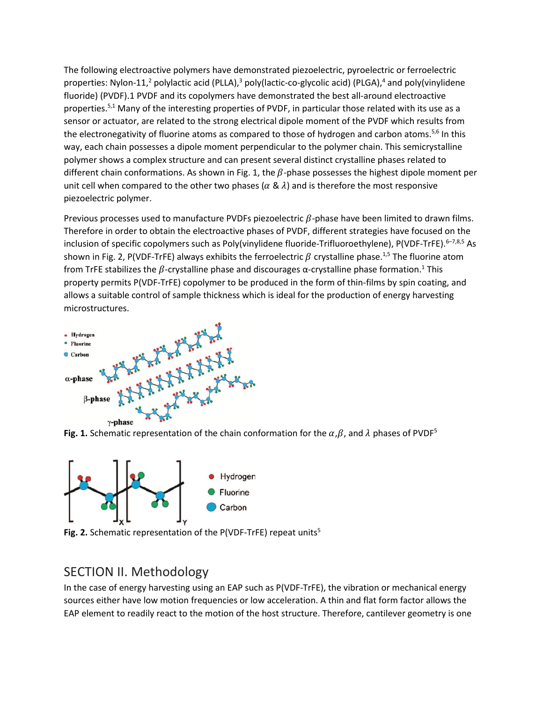The following electroactive polymers have demonstrated piezoelectric, pyroelectric or ferroelectric properties: Nylon-11,<sup>2</sup> polylactic acid (PLLA),<sup>3</sup> poly(lactic-co-glycolic acid) (PLGA),<sup>4</sup> and poly(vinylidene fluoride) (PVDF).1 PVDF and its copolymers have demonstrated the best all-around electroactive properties.<sup>5,1</sup> Many of the interesting properties of PVDF, in particular those related with its use as a sensor or actuator, are related to the strong electrical dipole moment of the PVDF which results from the electronegativity of fluorine atoms as compared to those of hydrogen and carbon atoms.<sup>5,6</sup> In this way, each chain possesses a dipole moment perpendicular to the polymer chain. This semicrystalline polymer shows a complex structure and can present several distinct crystalline phases related to different chain conformations. As shown in Fig. 1, the  $\beta$ -phase possesses the highest dipole moment per unit cell when compared to the other two phases ( $\alpha \& \lambda$ ) and is therefore the most responsive piezoelectric polymer.

Previous processes used to manufacture PVDFs piezoelectric  $\beta$ -phase have been limited to drawn films. Therefore in order to obtain the electroactive phases of PVDF, different strategies have focused on the inclusion of specific copolymers such as Poly(vinylidene fluoride-Trifluoroethylene), P(VDF-TrFE). 6-7,8,5 As shown in Fig. 2, P(VDF-TrFE) always exhibits the ferroelectric  $\beta$  crystalline phase.<sup>1,5</sup> The fluorine atom from TrFE stabilizes the  $β$ -crystalline phase and discourages α-crystalline phase formation.<sup>1</sup> This property permits P(VDF-TrFE) copolymer to be produced in the form of thin-films by spin coating, and allows a suitable control of sample thickness which is ideal for the production of energy harvesting microstructures.



**Fig. 1.** Schematic representation of the chain conformation for the  $\alpha$ ,  $\beta$ , and  $\lambda$  phases of PVDF<sup>5</sup>



**Fig. 2.** Schematic representation of the P(VDF-TrFE) repeat units<sup>5</sup>

## <span id="page-3-0"></span>SECTION II. Methodology

In the case of energy harvesting using an EAP such as P(VDF-TrFE), the vibration or mechanical energy sources either have low motion frequencies or low acceleration. A thin and flat form factor allows the EAP element to readily react to the motion of the host structure. Therefore, cantilever geometry is one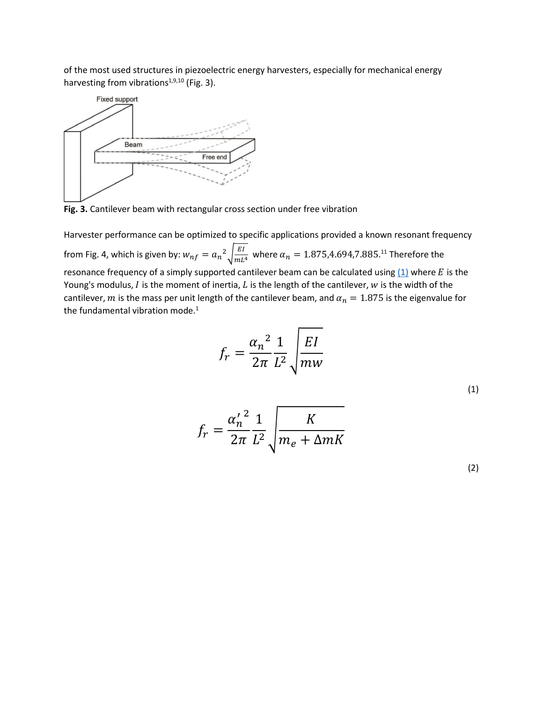of the most used structures in piezoelectric energy harvesters, especially for mechanical energy harvesting from vibrations $1,9,10$  (Fig. 3).



**Fig. 3.** Cantilever beam with rectangular cross section under free vibration

Harvester performance can be optimized to specific applications provided a known resonant frequency from Fig. 4, which is given by:  $w_{nf} = a_n^2 \sqrt{\frac{EI}{mL^4}}$  where  $\alpha_n = 1.875, 4.694, 7.885$ .<sup>11</sup> Therefore the resonance frequency of a simply supported cantilever beam can be calculated using  $(1)$  where E is the Young's modulus,  $I$  is the moment of inertia,  $L$  is the length of the cantilever,  $w$  is the width of the cantilever, m is the mass per unit length of the cantilever beam, and  $\alpha_n = 1.875$  is the eigenvalue for the fundamental vibration mode.<sup>1</sup>

$$
f_r = \frac{{\alpha_n}^2}{2\pi} \frac{1}{L^2} \sqrt{\frac{EI}{mw}}
$$

(1)

$$
f_r = \frac{{\alpha'_n}^2}{2\pi} \frac{1}{L^2} \sqrt{\frac{K}{m_e + \Delta mK}}
$$

(2)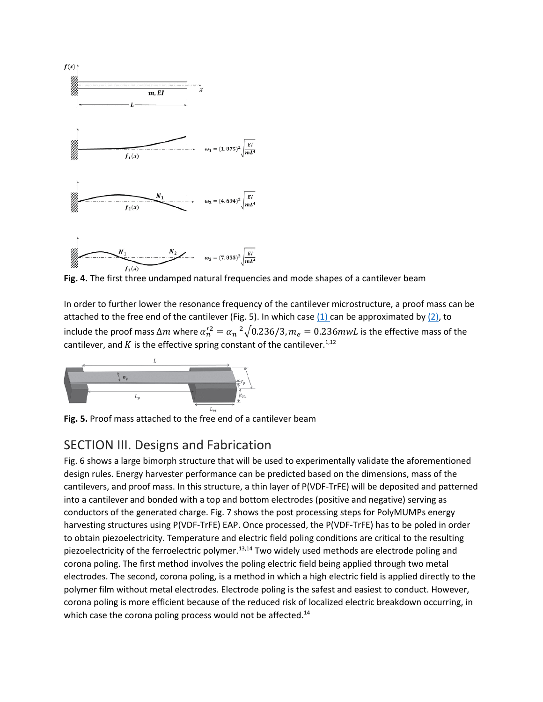

**Fig. 4.** The first three undamped natural frequencies and mode shapes of a cantilever beam

In order to further lower the resonance frequency of the cantilever microstructure, a proof mass can be attached to the free end of the cantilever (Fig. 5). In which case  $(1)$  can be approximated by  $(2)$ , to include the proof mass  $\Delta m$  where  $\alpha_n^2 = \alpha_n^2 \sqrt{0.236/3}$ ,  $m_e = 0.236$  mw $L$  is the effective mass of the cantilever, and  $K$  is the effective spring constant of the cantilever.<sup>1,12</sup>



<span id="page-5-0"></span>**Fig. 5.** Proof mass attached to the free end of a cantilever beam

## SECTION III. Designs and Fabrication

Fig. 6 shows a large bimorph structure that will be used to experimentally validate the aforementioned design rules. Energy harvester performance can be predicted based on the dimensions, mass of the cantilevers, and proof mass. In this structure, a thin layer of P(VDF-TrFE) will be deposited and patterned into a cantilever and bonded with a top and bottom electrodes (positive and negative) serving as conductors of the generated charge. Fig. 7 shows the post processing steps for PolyMUMPs energy harvesting structures using P(VDF-TrFE) EAP. Once processed, the P(VDF-TrFE) has to be poled in order to obtain piezoelectricity. Temperature and electric field poling conditions are critical to the resulting piezoelectricity of the ferroelectric polymer.<sup>13,14</sup> Two widely used methods are electrode poling and corona poling. The first method involves the poling electric field being applied through two metal electrodes. The second, corona poling, is a method in which a high electric field is applied directly to the polymer film without metal electrodes. Electrode poling is the safest and easiest to conduct. However, corona poling is more efficient because of the reduced risk of localized electric breakdown occurring, in which case the corona poling process would not be affected.<sup>14</sup>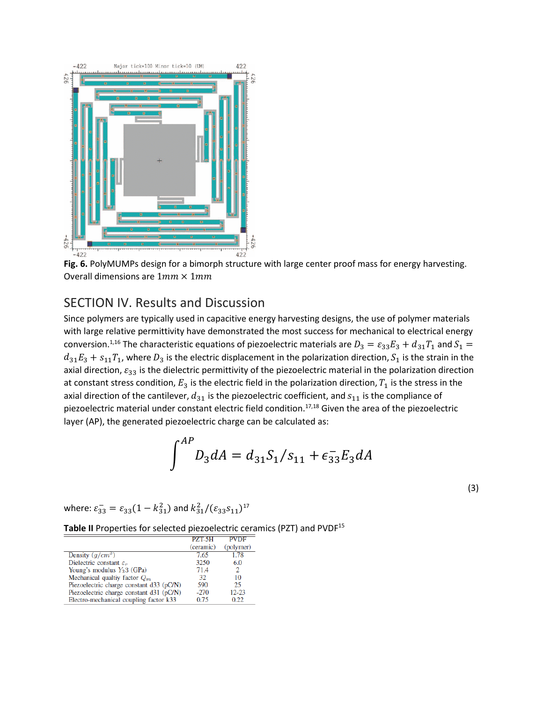

**Fig. 6.** PolyMUMPs design for a bimorph structure with large center proof mass for energy harvesting. Overall dimensions are  $1mm \times 1mm$ 

## <span id="page-6-0"></span>SECTION IV. Results and Discussion

Since polymers are typically used in capacitive energy harvesting designs, the use of polymer materials with large relative permittivity have demonstrated the most success for mechanical to electrical energy conversion.<sup>1,16</sup> The characteristic equations of piezoelectric materials are  $D_3 = \varepsilon_{33} E_3 + d_{31} T_1$  and  $S_1 =$  $d_{31}E_3 + s_{11}T_1$ , where  $D_3$  is the electric displacement in the polarization direction,  $S_1$  is the strain in the axial direction,  $\varepsilon_{33}$  is the dielectric permittivity of the piezoelectric material in the polarization direction at constant stress condition,  $E_3$  is the electric field in the polarization direction,  $T_1$  is the stress in the axial direction of the cantilever,  $d_{31}$  is the piezoelectric coefficient, and  $s_{11}$  is the compliance of piezoelectric material under constant electric field condition.<sup>17,18</sup> Given the area of the piezoelectric layer (AP), the generated piezoelectric charge can be calculated as:

$$
\int^{AP} D_3 dA = d_{31} S_1 / s_{11} + \epsilon_{33}^- E_3 dA
$$

(3)

where:  $\varepsilon_{33}^- = \varepsilon_{33}(1 - k_{31}^2)$  and  $k_{31}^2/(\varepsilon_{33} s_{11})^{17}$ 

Table II Properties for selected piezoelectric ceramics (PZT) and PVDF<sup>15</sup>

|                                          | <b>PZT-5H</b> | <b>PVDF</b> |
|------------------------------------------|---------------|-------------|
|                                          | (ceramic)     | (polymer)   |
| Density $(q/cm^3)$                       | 7.65          | 1.78        |
| Dielectric constant $\varepsilon_r$      | 3250          | 6.0         |
| Young's modulus $Y_33$ (GPa)             | 71.4          | 2           |
| Mechanical quality factor $Q_m$          | 32            | 10          |
| Piezoelectric charge constant d33 (pC/N) | 590           | 25          |
| Piezoelectric charge constant d31 (pC/N) | $-270$        | $12 - 23$   |
| Electro-mechanical coupling factor k33   | 0.75          | 0.22        |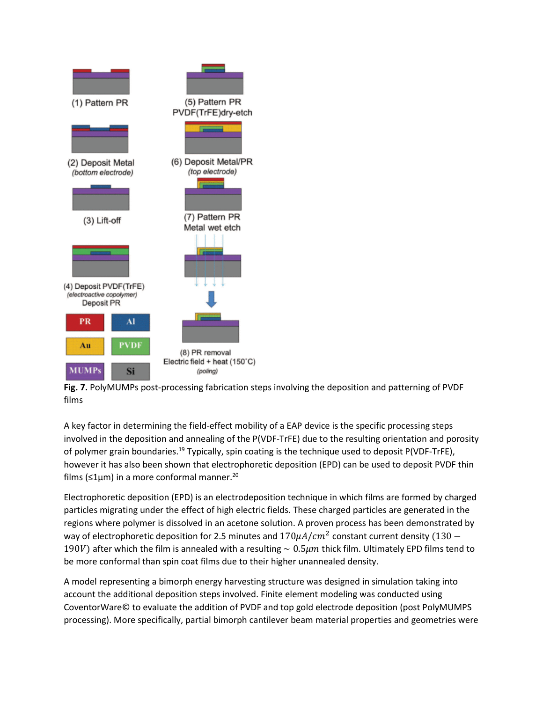

**Fig. 7.** PolyMUMPs post-processing fabrication steps involving the deposition and patterning of PVDF films

A key factor in determining the field-effect mobility of a EAP device is the specific processing steps involved in the deposition and annealing of the P(VDF-TrFE) due to the resulting orientation and porosity of polymer grain boundaries.<sup>19</sup> Typically, spin coating is the technique used to deposit P(VDF-TrFE), however it has also been shown that electrophoretic deposition (EPD) can be used to deposit PVDF thin films (≤1μm) in a more conformal manner.<sup>20</sup>

Electrophoretic deposition (EPD) is an electrodeposition technique in which films are formed by charged particles migrating under the effect of high electric fields. These charged particles are generated in the regions where polymer is dissolved in an acetone solution. A proven process has been demonstrated by way of electrophoretic deposition for 2.5 minutes and  $170 \mu A/cm^2$  constant current density (130 – 190V) after which the film is annealed with a resulting ~ 0.5 $\mu$ m thick film. Ultimately EPD films tend to be more conformal than spin coat films due to their higher unannealed density.

A model representing a bimorph energy harvesting structure was designed in simulation taking into account the additional deposition steps involved. Finite element modeling was conducted using CoventorWare© to evaluate the addition of PVDF and top gold electrode deposition (post PolyMUMPS processing). More specifically, partial bimorph cantilever beam material properties and geometries were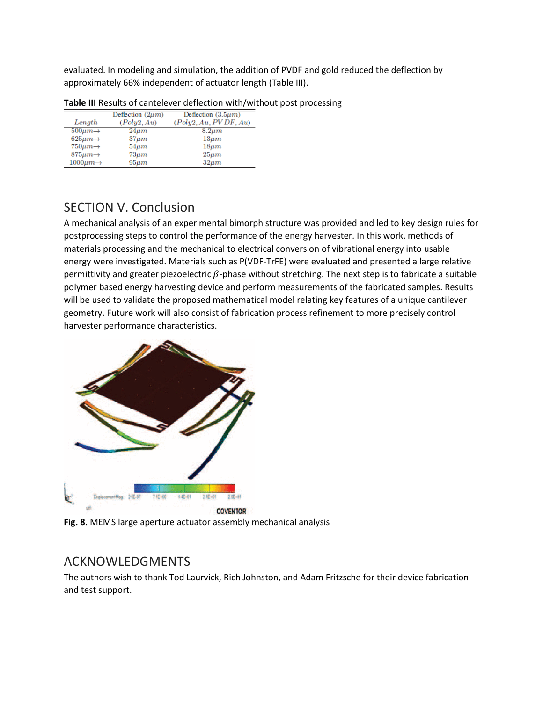evaluated. In modeling and simulation, the addition of PVDF and gold reduced the deflection by approximately 66% independent of actuator length (Table III).

|                          | Deflection $(2\mu m)$ | Deflection $(3.5\mu m)$ |
|--------------------------|-----------------------|-------------------------|
| Length                   | (Poly2, Au)           | (Poly2, Au, PVDF, Au)   |
| $500 \mu m \rightarrow$  | $24\mu m$             | $8.2 \mu m$             |
| $625\mu m \rightarrow$   | $37 \mu m$            | $13 \mu m$              |
| $750 \mu m \rightarrow$  | $54 \mu m$            | $18 \mu m$              |
| $875 \mu m \rightarrow$  | $73 \mu m$            | $25 \mu m$              |
| $1000 \mu m \rightarrow$ | $95 \mu m$            | $32 \mu m$              |

#### **Table III** Results of cantelever deflection with/without post processing

## <span id="page-8-0"></span>SECTION V. Conclusion

A mechanical analysis of an experimental bimorph structure was provided and led to key design rules for postprocessing steps to control the performance of the energy harvester. In this work, methods of materials processing and the mechanical to electrical conversion of vibrational energy into usable energy were investigated. Materials such as P(VDF-TrFE) were evaluated and presented a large relative permittivity and greater piezoelectric  $\beta$ -phase without stretching. The next step is to fabricate a suitable polymer based energy harvesting device and perform measurements of the fabricated samples. Results will be used to validate the proposed mathematical model relating key features of a unique cantilever geometry. Future work will also consist of fabrication process refinement to more precisely control harvester performance characteristics.



**Fig. 8.** MEMS large aperture actuator assembly mechanical analysis

## <span id="page-8-1"></span>ACKNOWLEDGMENTS

The authors wish to thank Tod Laurvick, Rich Johnston, and Adam Fritzsche for their device fabrication and test support.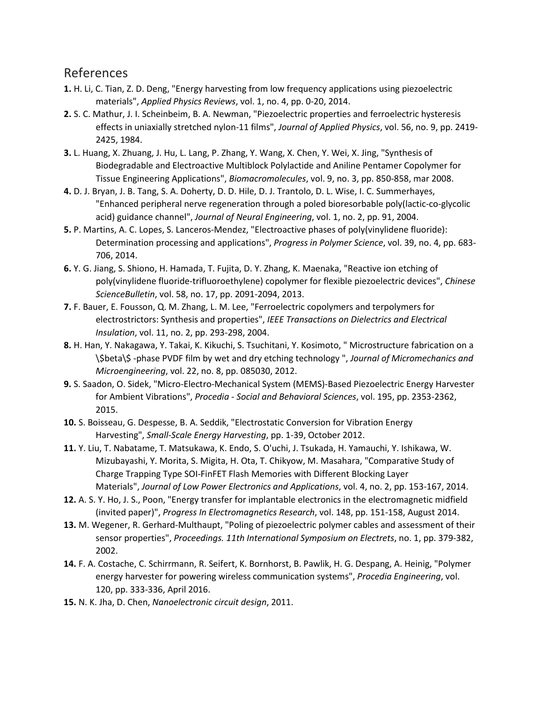#### <span id="page-9-0"></span>References

- **1.** H. Li, C. Tian, Z. D. Deng, "Energy harvesting from low frequency applications using piezoelectric materials", *Applied Physics Reviews*, vol. 1, no. 4, pp. 0-20, 2014.
- **2.** S. C. Mathur, J. I. Scheinbeim, B. A. Newman, "Piezoelectric properties and ferroelectric hysteresis effects in uniaxially stretched nylon-11 films", *Journal of Applied Physics*, vol. 56, no. 9, pp. 2419- 2425, 1984.
- **3.** L. Huang, X. Zhuang, J. Hu, L. Lang, P. Zhang, Y. Wang, X. Chen, Y. Wei, X. Jing, "Synthesis of Biodegradable and Electroactive Multiblock Polylactide and Aniline Pentamer Copolymer for Tissue Engineering Applications", *Biomacromolecules*, vol. 9, no. 3, pp. 850-858, mar 2008.
- **4.** D. J. Bryan, J. B. Tang, S. A. Doherty, D. D. Hile, D. J. Trantolo, D. L. Wise, I. C. Summerhayes, "Enhanced peripheral nerve regeneration through a poled bioresorbable poly(lactic-co-glycolic acid) guidance channel", *Journal of Neural Engineering*, vol. 1, no. 2, pp. 91, 2004.
- **5.** P. Martins, A. C. Lopes, S. Lanceros-Mendez, "Electroactive phases of poly(vinylidene fluoride): Determination processing and applications", *Progress in Polymer Science*, vol. 39, no. 4, pp. 683- 706, 2014.
- **6.** Y. G. Jiang, S. Shiono, H. Hamada, T. Fujita, D. Y. Zhang, K. Maenaka, "Reactive ion etching of poly(vinylidene fluoride-trifluoroethylene) copolymer for flexible piezoelectric devices", *Chinese ScienceBulletin*, vol. 58, no. 17, pp. 2091-2094, 2013.
- **7.** F. Bauer, E. Fousson, Q. M. Zhang, L. M. Lee, "Ferroelectric copolymers and terpolymers for electrostrictors: Synthesis and properties", *IEEE Transactions on Dielectrics and Electrical Insulation*, vol. 11, no. 2, pp. 293-298, 2004.
- **8.** H. Han, Y. Nakagawa, Y. Takai, K. Kikuchi, S. Tsuchitani, Y. Kosimoto, " Microstructure fabrication on a \\$beta\\$ -phase PVDF film by wet and dry etching technology ", *Journal of Micromechanics and Microengineering*, vol. 22, no. 8, pp. 085030, 2012.
- **9.** S. Saadon, O. Sidek, "Micro-Electro-Mechanical System (MEMS)-Based Piezoelectric Energy Harvester for Ambient Vibrations", *Procedia - Social and Behavioral Sciences*, vol. 195, pp. 2353-2362, 2015.
- **10.** S. Boisseau, G. Despesse, B. A. Seddik, "Electrostatic Conversion for Vibration Energy Harvesting", *Small-Scale Energy Harvesting*, pp. 1-39, October 2012.
- **11.** Y. Liu, T. Nabatame, T. Matsukawa, K. Endo, S. O'uchi, J. Tsukada, H. Yamauchi, Y. Ishikawa, W. Mizubayashi, Y. Morita, S. Migita, H. Ota, T. Chikyow, M. Masahara, "Comparative Study of Charge Trapping Type SOI-FinFET Flash Memories with Different Blocking Layer Materials", *Journal of Low Power Electronics and Applications*, vol. 4, no. 2, pp. 153-167, 2014.
- **12.** A. S. Y. Ho, J. S., Poon, "Energy transfer for implantable electronics in the electromagnetic midfield (invited paper)", *Progress In Electromagnetics Research*, vol. 148, pp. 151-158, August 2014.
- **13.** M. Wegener, R. Gerhard-Multhaupt, "Poling of piezoelectric polymer cables and assessment of their sensor properties", *Proceedings. 11th International Symposium on Electrets*, no. 1, pp. 379-382, 2002.
- **14.** F. A. Costache, C. Schirrmann, R. Seifert, K. Bornhorst, B. Pawlik, H. G. Despang, A. Heinig, "Polymer energy harvester for powering wireless communication systems", *Procedia Engineering*, vol. 120, pp. 333-336, April 2016.
- **15.** N. K. Jha, D. Chen, *Nanoelectronic circuit design*, 2011.